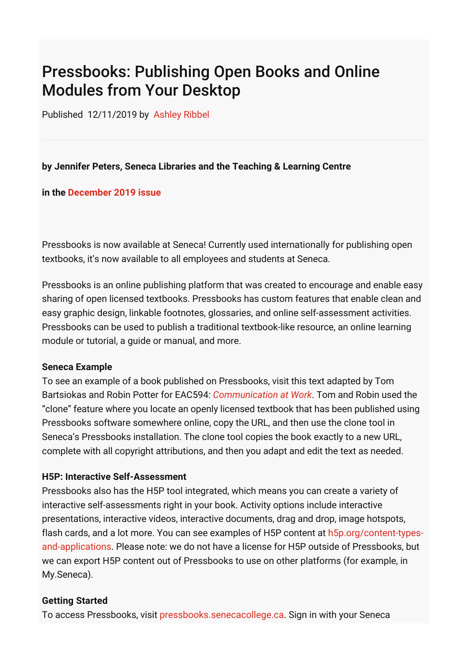# Pressbooks: Publishing Open Books and Online Modules from Your Desktop

Published 12/11/2019 by [Ashley Ribbel](https://employees.senecacollege.ca/people/ashley-ribbel)

## **by Jennifer Peters, Seneca Libraries and the Teaching & Learning Centre**

### **in the [December 2019 issue](https://employees.senecacollege.ca/spaces/153/academic-newsletter/december-2019/)**

Pressbooks is now available at Seneca! Currently used internationally for publishing open textbooks, it's now available to all employees and students at Seneca.

Pressbooks is an online publishing platform that was created to encourage and enable easy sharing of open licensed textbooks. Pressbooks has custom features that enable clean and easy graphic design, linkable footnotes, glossaries, and online self-assessment activities. Pressbooks can be used to publish a traditional textbook-like resource, an online learning module or tutorial, a guide or manual, and more.

#### **Seneca Example**

To see an example of a book published on Pressbooks, visit this text adapted by Tom Bartsiokas and Robin Potter for EAC594: *[Communication at Work](https://pressbooks.senecacollege.ca/buscomm/)*. Tom and Robin used the "clone" feature where you locate an openly licensed textbook that has been published using Pressbooks software somewhere online, copy the URL, and then use the clone tool in Seneca's Pressbooks installation. The clone tool copies the book exactly to a new URL, complete with all copyright attributions, and then you adapt and edit the text as needed.

### **H5P: Interactive Self-Assessment**

Pressbooks also has the H5P tool integrated, which means you can create a variety of interactive self-assessments right in your book. Activity options include interactive presentations, interactive videos, interactive documents, drag and drop, image hotspots, [flash cards, and a lot more. You can see examples of H5P content at h5p.org/content-types](https://h5p.org/content-types-and-applications)and-applications. Please note: we do not have a license for H5P outside of Pressbooks, but we can export H5P content out of Pressbooks to use on other platforms (for example, in My.Seneca).

### **Getting Started**

To access Pressbooks, visit [pressbooks.senecacollege.ca.](https://pressbooks.senecacollege.ca/) Sign in with your Seneca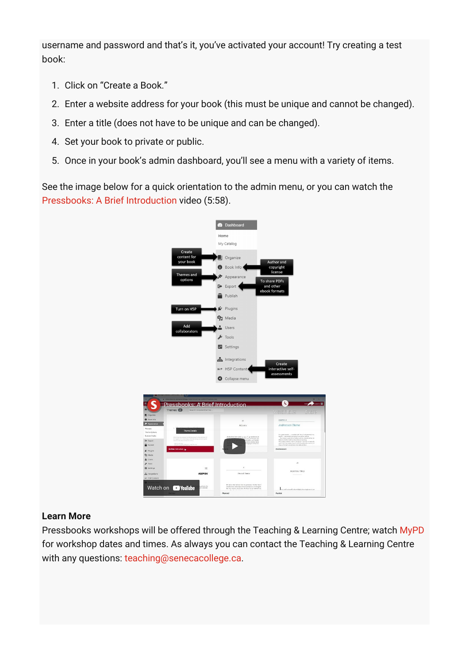username and password and that's it, you've activated your account! Try creating a test book:

- 1. Click on "Create a Book."
- 2. Enter a website address for your book (this must be unique and cannot be changed).
- 3. Enter a title (does not have to be unique and can be changed).
- 4. Set your book to private or public.
- 5. Once in your book's admin dashboard, you'll see a menu with a variety of items.

See the image below for a quick orientation to the admin menu, or you can watch the [Pressbooks: A Brief Introduction](https://www.youtube.com/watch?v=i4NXmkzX-NA) video (5:58).



## **Learn More**

Pressbooks workshops will be offered through the Teaching & Learning Centre; watch [MyPD](https://mypd.senecacollege.ca/) for workshop dates and times. As always you can contact the Teaching & Learning Centre with any questions: [teaching@senecacollege.ca](mailto:teaching@senecacollege.ca).